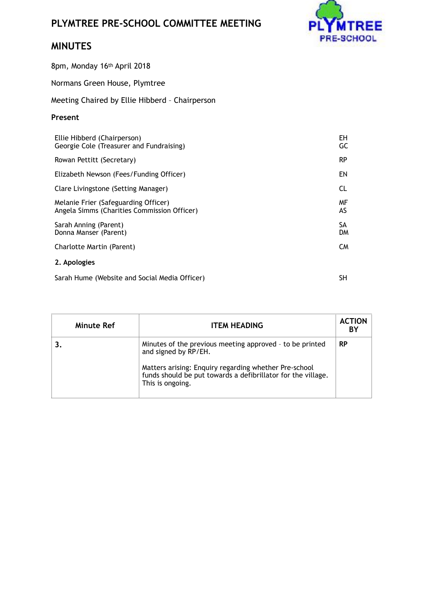## **PLYMTREE PRE-SCHOOL COMMITTEE MEETING**



## **MINUTES**

8pm, Monday 16th April 2018

Normans Green House, Plymtree

Meeting Chaired by Ellie Hibberd – Chairperson

## **Present**

| Ellie Hibberd (Chairperson)<br>Georgie Cole (Treasurer and Fundraising)             | EH<br>GC               |
|-------------------------------------------------------------------------------------|------------------------|
| Rowan Pettitt (Secretary)                                                           | <b>RP</b>              |
| Elizabeth Newson (Fees/Funding Officer)                                             | EN                     |
| Clare Livingstone (Setting Manager)                                                 | CL.                    |
| Melanie Frier (Safeguarding Officer)<br>Angela Simms (Charities Commission Officer) | MF<br>AS               |
| Sarah Anning (Parent)<br>Donna Manser (Parent)                                      | <b>SA</b><br><b>DM</b> |
| Charlotte Martin (Parent)                                                           | CM.                    |
| 2. Apologies                                                                        |                        |

Sarah Hume (Website and Social Media Officer)

SH

| Minute Ref | <b>ITEM HEADING</b>                                                                                                                                                                                                           | <b>ACTION</b><br>BY |
|------------|-------------------------------------------------------------------------------------------------------------------------------------------------------------------------------------------------------------------------------|---------------------|
|            | Minutes of the previous meeting approved - to be printed<br>and signed by RP/EH.<br>Matters arising: Enquiry regarding whether Pre-school<br>funds should be put towards a defibrillator for the village.<br>This is ongoing. | <b>RP</b>           |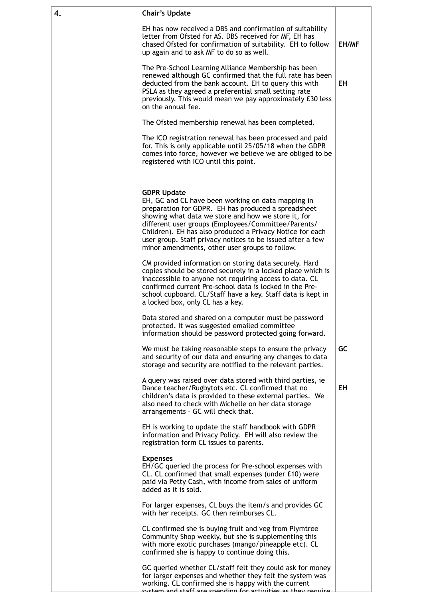| 4. | <b>Chair's Update</b>                                                                                                                                                                                                                                                                                                                                                                                                      |       |
|----|----------------------------------------------------------------------------------------------------------------------------------------------------------------------------------------------------------------------------------------------------------------------------------------------------------------------------------------------------------------------------------------------------------------------------|-------|
|    | EH has now received a DBS and confirmation of suitability<br>letter from Ofsted for AS. DBS received for MF, EH has<br>chased Ofsted for confirmation of suitability. EH to follow<br>up again and to ask MF to do so as well.                                                                                                                                                                                             | EH/MF |
|    | The Pre-School Learning Alliance Membership has been<br>renewed although GC confirmed that the full rate has been<br>deducted from the bank account. EH to query this with<br>PSLA as they agreed a preferential small setting rate<br>previously. This would mean we pay approximately £30 less<br>on the annual fee.                                                                                                     | EH    |
|    | The Ofsted membership renewal has been completed.                                                                                                                                                                                                                                                                                                                                                                          |       |
|    | The ICO registration renewal has been processed and paid<br>for. This is only applicable until 25/05/18 when the GDPR<br>comes into force, however we believe we are obliged to be<br>registered with ICO until this point.                                                                                                                                                                                                |       |
|    | <b>GDPR Update</b><br>EH, GC and CL have been working on data mapping in<br>preparation for GDPR. EH has produced a spreadsheet<br>showing what data we store and how we store it, for<br>different user groups (Employees/Committee/Parents/<br>Children). EH has also produced a Privacy Notice for each<br>user group. Staff privacy notices to be issued after a few<br>minor amendments, other user groups to follow. |       |
|    | CM provided information on storing data securely. Hard<br>copies should be stored securely in a locked place which is<br>inaccessible to anyone not requiring access to data. CL<br>confirmed current Pre-school data is locked in the Pre-<br>school cupboard. CL/Staff have a key. Staff data is kept in<br>a locked box, only CL has a key.                                                                             |       |
|    | Data stored and shared on a computer must be password<br>protected. It was suggested emailed committee<br>information should be password protected going forward.                                                                                                                                                                                                                                                          |       |
|    | We must be taking reasonable steps to ensure the privacy<br>and security of our data and ensuring any changes to data<br>storage and security are notified to the relevant parties.                                                                                                                                                                                                                                        | GC    |
|    | A query was raised over data stored with third parties, ie<br>Dance teacher/Rugbytots etc. CL confirmed that no<br>children's data is provided to these external parties. We<br>also need to check with Michelle on her data storage<br>arrangements - GC will check that.                                                                                                                                                 | EH    |
|    | EH is working to update the staff handbook with GDPR<br>information and Privacy Policy. EH will also review the<br>registration form CL issues to parents.                                                                                                                                                                                                                                                                 |       |
|    | <b>Expenses</b><br>EH/GC queried the process for Pre-school expenses with<br>CL. CL confirmed that small expenses (under £10) were<br>paid via Petty Cash, with income from sales of uniform<br>added as it is sold.                                                                                                                                                                                                       |       |
|    | For larger expenses, CL buys the item/s and provides GC<br>with her receipts. GC then reimburses CL.                                                                                                                                                                                                                                                                                                                       |       |
|    | CL confirmed she is buying fruit and veg from Plymtree<br>Community Shop weekly, but she is supplementing this<br>with more exotic purchases (mango/pineapple etc). CL<br>confirmed she is happy to continue doing this.                                                                                                                                                                                                   |       |
|    | GC queried whether CL/staff felt they could ask for money<br>for larger expenses and whether they felt the system was<br>working. CL confirmed she is happy with the current<br><u>uctam and ctaff ara cnanding for activities as thou roquira</u>                                                                                                                                                                         |       |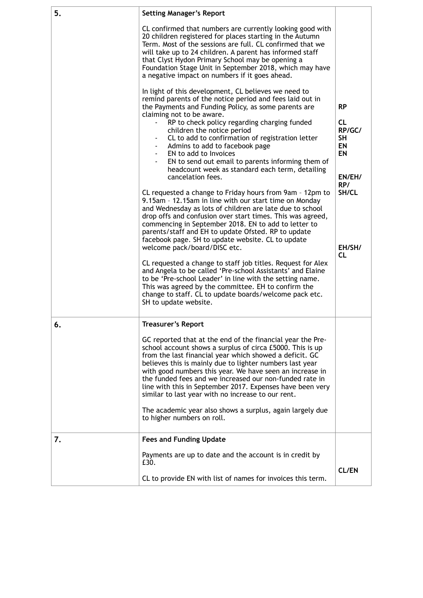| 5. | <b>Setting Manager's Report</b>                                                                                                                                                                                                                                                                                                                                                                                                                                                                                                                                                     |                                                                                          |
|----|-------------------------------------------------------------------------------------------------------------------------------------------------------------------------------------------------------------------------------------------------------------------------------------------------------------------------------------------------------------------------------------------------------------------------------------------------------------------------------------------------------------------------------------------------------------------------------------|------------------------------------------------------------------------------------------|
|    | CL confirmed that numbers are currently looking good with<br>20 children registered for places starting in the Autumn<br>Term. Most of the sessions are full. CL confirmed that we<br>will take up to 24 children. A parent has informed staff<br>that Clyst Hydon Primary School may be opening a<br>Foundation Stage Unit in September 2018, which may have<br>a negative impact on numbers if it goes ahead.                                                                                                                                                                     |                                                                                          |
|    | In light of this development, CL believes we need to<br>remind parents of the notice period and fees laid out in<br>the Payments and Funding Policy, as some parents are<br>claiming not to be aware.<br>RP to check policy regarding charging funded<br>children the notice period<br>CL to add to confirmation of registration letter<br>Admins to add to facebook page<br>- EN to add to Invoices<br>EN to send out email to parents informing them of<br>headcount week as standard each term, detailing<br>cancelation fees.                                                   | <b>RP</b><br><b>CL</b><br>RP/GC/<br><b>SH</b><br><b>EN</b><br><b>EN</b><br>EN/EH/<br>RP/ |
|    | CL requested a change to Friday hours from 9am - 12pm to<br>9.15am - 12.15am in line with our start time on Monday<br>and Wednesday as lots of children are late due to school<br>drop offs and confusion over start times. This was agreed,<br>commencing in September 2018. EN to add to letter to<br>parents/staff and EH to update Ofsted. RP to update<br>facebook page. SH to update website. CL to update<br>welcome pack/board/DISC etc.<br>CL requested a change to staff job titles. Request for Alex                                                                     | SH/CL<br>EH/SH/<br>CL                                                                    |
|    | and Angela to be called 'Pre-school Assistants' and Elaine<br>to be 'Pre-school Leader' in line with the setting name.<br>This was agreed by the committee. EH to confirm the<br>change to staff. CL to update boards/welcome pack etc.<br>SH to update website.                                                                                                                                                                                                                                                                                                                    |                                                                                          |
| 6. | <b>Treasurer's Report</b>                                                                                                                                                                                                                                                                                                                                                                                                                                                                                                                                                           |                                                                                          |
|    | GC reported that at the end of the financial year the Pre-<br>school account shows a surplus of circa £5000. This is up<br>from the last financial year which showed a deficit. GC<br>believes this is mainly due to lighter numbers last year<br>with good numbers this year. We have seen an increase in<br>the funded fees and we increased our non-funded rate in<br>line with this in September 2017. Expenses have been very<br>similar to last year with no increase to our rent.<br>The academic year also shows a surplus, again largely due<br>to higher numbers on roll. |                                                                                          |
| 7. | <b>Fees and Funding Update</b>                                                                                                                                                                                                                                                                                                                                                                                                                                                                                                                                                      |                                                                                          |
|    | Payments are up to date and the account is in credit by<br>£30.                                                                                                                                                                                                                                                                                                                                                                                                                                                                                                                     | <b>CL/EN</b>                                                                             |
|    | CL to provide EN with list of names for invoices this term.                                                                                                                                                                                                                                                                                                                                                                                                                                                                                                                         |                                                                                          |